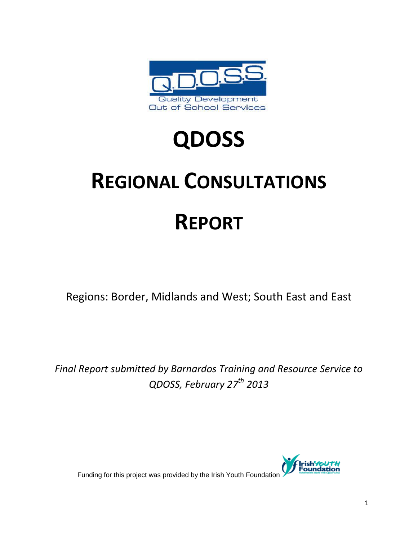

## **QDOSS**

# **REGIONAL CONSULTATIONS REPORT**

Regions: Border, Midlands and West; South East and East

*Final Report submitted by Barnardos Training and Resource Service to QDOSS, February 27th 2013*



Funding for this project was provided by the Irish Youth Foundation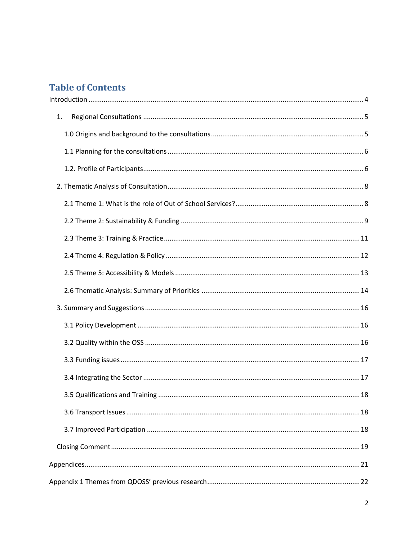## **Table of Contents**

| 1. |  |
|----|--|
|    |  |
|    |  |
|    |  |
|    |  |
|    |  |
|    |  |
|    |  |
|    |  |
|    |  |
|    |  |
|    |  |
|    |  |
|    |  |
|    |  |
|    |  |
|    |  |
|    |  |
|    |  |
|    |  |
|    |  |
|    |  |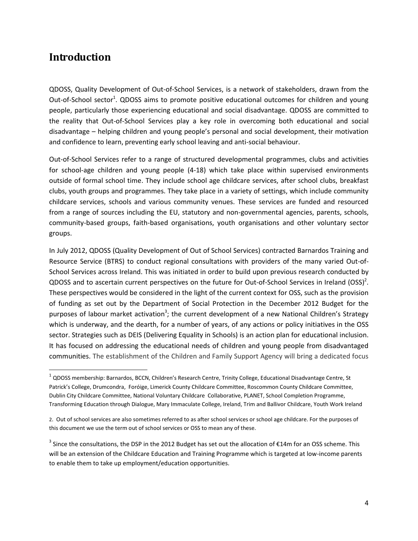## <span id="page-3-0"></span>**Introduction**

 $\overline{\phantom{a}}$ 

QDOSS, Quality Development of Out-of-School Services, is a network of stakeholders, drawn from the Out-of-School sector<sup>1</sup>. QDOSS aims to promote positive educational outcomes for children and young people, particularly those experiencing educational and social disadvantage. QDOSS are committed to the reality that Out-of-School Services play a key role in overcoming both educational and social disadvantage – helping children and young people's personal and social development, their motivation and confidence to learn, preventing early school leaving and anti-social behaviour.

Out-of-School Services refer to a range of structured developmental programmes, clubs and activities for school-age children and young people (4-18) which take place within supervised environments outside of formal school time. They include school age childcare services, after school clubs, breakfast clubs, youth groups and programmes. They take place in a variety of settings, which include community childcare services, schools and various community venues. These services are funded and resourced from a range of sources including the EU, statutory and non-governmental agencies, parents, schools, community-based groups, faith-based organisations, youth organisations and other voluntary sector groups.

In July 2012, QDOSS (Quality Development of Out of School Services) contracted Barnardos Training and Resource Service (BTRS) to conduct regional consultations with providers of the many varied Out-of-School Services across Ireland. This was initiated in order to build upon previous research conducted by QDOSS and to ascertain current perspectives on the future for Out-of-School Services in Ireland (OSS)<sup>2</sup>. These perspectives would be considered in the light of the current context for OSS, such as the provision of funding as set out by the Department of Social Protection in the December 2012 Budget for the purposes of labour market activation<sup>3</sup>; the current development of a new National Children's Strategy which is underway, and the dearth, for a number of years, of any actions or policy initiatives in the OSS sector. Strategies such as DEIS (Delivering Equality in Schools) is an action plan for educational inclusion. It has focused on addressing the educational needs of children and young people from disadvantaged communities. The establishment of the Children and Family Support Agency will bring a dedicated focus

 $^1$  QDOSS membership: Barnardos, BCCN, Children's Research Centre, Trinity College, Educational Disadvantage Centre, St Patrick's College, Drumcondra, Foróige, Limerick County Childcare Committee, Roscommon County Childcare Committee, Dublin City Childcare Committee, National Voluntary Childcare Collaborative, PLANET, School Completion Programme, Transforming Education through Dialogue, Mary Immaculate College, Ireland, Trim and Ballivor Childcare, Youth Work Ireland

<sup>2</sup>. Out of school services are also sometimes referred to as after school services or school age childcare. For the purposes of this document we use the term out of school services or OSS to mean any of these.

<sup>&</sup>lt;sup>3</sup> Since the consultations, the DSP in the 2012 Budget has set out the allocation of €14m for an OSS scheme. This will be an extension of the Childcare Education and Training Programme which is targeted at low-income parents to enable them to take up employment/education opportunities.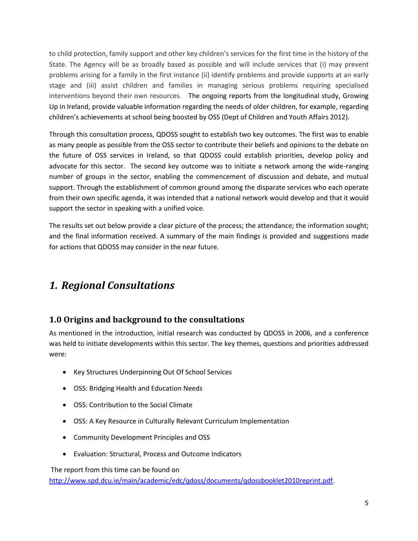to child protection, family support and other key children's services for the first time in the history of the State. The Agency will be as broadly based as possible and will include services that (i) may prevent problems arising for a family in the first instance (ii) identify problems and provide supports at an early stage and (iii) assist children and families in managing serious problems requiring specialised interventions beyond their own resources. The ongoing reports from the longitudinal study, Growing Up in Ireland, provide valuable information regarding the needs of older children, for example, regarding children's achievements at school being boosted by OSS (Dept of Children and Youth Affairs 2012).

Through this consultation process, QDOSS sought to establish two key outcomes. The first was to enable as many people as possible from the OSS sector to contribute their beliefs and opinions to the debate on the future of OSS services in Ireland, so that QDOSS could establish priorities, develop policy and advocate for this sector. The second key outcome was to initiate a network among the wide-ranging number of groups in the sector, enabling the commencement of discussion and debate, and mutual support. Through the establishment of common ground among the disparate services who each operate from their own specific agenda, it was intended that a national network would develop and that it would support the sector in speaking with a unified voice.

The results set out below provide a clear picture of the process; the attendance; the information sought; and the final information received. A summary of the main findings is provided and suggestions made for actions that QDOSS may consider in the near future.

## <span id="page-4-0"></span>*1. Regional Consultations*

#### <span id="page-4-1"></span>**1.0 Origins and background to the consultations**

As mentioned in the introduction, initial research was conducted by QDOSS in 2006, and a conference was held to initiate developments within this sector. The key themes, questions and priorities addressed were:

- Key Structures Underpinning Out Of School Services
- OSS: Bridging Health and Education Needs
- OSS: Contribution to the Social Climate
- OSS: A Key Resource in Culturally Relevant Curriculum Implementation
- Community Development Principles and OSS
- Evaluation: Structural, Process and Outcome Indicators

The report from this time can be found on

[http://www.spd.dcu.ie/main/academic/edc/qdoss/documents/qdossbooklet2010reprint.pdf.](http://www.spd.dcu.ie/main/academic/edc/qdoss/documents/qdossbooklet2010reprint.pdf)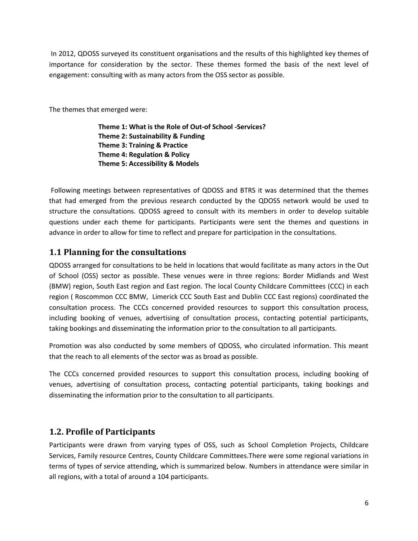In 2012, QDOSS surveyed its constituent organisations and the results of this highlighted key themes of importance for consideration by the sector. These themes formed the basis of the next level of engagement: consulting with as many actors from the OSS sector as possible.

The themes that emerged were:

**Theme 1: What is the Role of Out-of School -Services? Theme 2: Sustainability & Funding Theme 3: Training & Practice Theme 4: Regulation & Policy Theme 5: Accessibility & Models**

Following meetings between representatives of QDOSS and BTRS it was determined that the themes that had emerged from the previous research conducted by the QDOSS network would be used to structure the consultations. QDOSS agreed to consult with its members in order to develop suitable questions under each theme for participants. Participants were sent the themes and questions in advance in order to allow for time to reflect and prepare for participation in the consultations.

#### <span id="page-5-0"></span>**1.1 Planning for the consultations**

QDOSS arranged for consultations to be held in locations that would facilitate as many actors in the Out of School (OSS) sector as possible. These venues were in three regions: Border Midlands and West (BMW) region, South East region and East region. The local County Childcare Committees (CCC) in each region ( Roscommon CCC BMW, Limerick CCC South East and Dublin CCC East regions) coordinated the consultation process. The CCCs concerned provided resources to support this consultation process, including booking of venues, advertising of consultation process, contacting potential participants, taking bookings and disseminating the information prior to the consultation to all participants.

Promotion was also conducted by some members of QDOSS, who circulated information. This meant that the reach to all elements of the sector was as broad as possible.

The CCCs concerned provided resources to support this consultation process, including booking of venues, advertising of consultation process, contacting potential participants, taking bookings and disseminating the information prior to the consultation to all participants.

#### <span id="page-5-1"></span>**1.2. Profile of Participants**

Participants were drawn from varying types of OSS, such as School Completion Projects, Childcare Services, Family resource Centres, County Childcare Committees.There were some regional variations in terms of types of service attending, which is summarized below. Numbers in attendance were similar in all regions, with a total of around a 104 participants.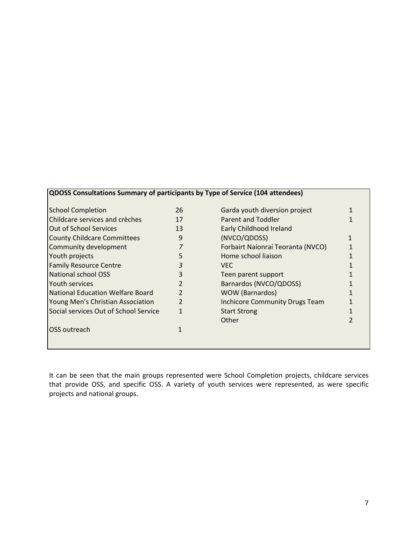#### **QDOSS Consultations Summary of participants by Type of Service (104 attendees)**

| <b>School Completion</b>              | 26 | Garda youth diversion project         |  |
|---------------------------------------|----|---------------------------------------|--|
| Childcare services and crèches        | 17 | Parent and Toddler                    |  |
| Out of School Services                | 13 | Early Childhood Ireland               |  |
| <b>County Childcare Committees</b>    | 9  | (NVCO/QDOSS)                          |  |
| Community development                 |    | Forbairt Naíonraí Teoranta (NVCO)     |  |
| Youth projects                        | 5  | Home school liaison                   |  |
| <b>Family Resource Centre</b>         | 3  | <b>VEC</b>                            |  |
| National school OSS                   | 3  | Teen parent support                   |  |
| <b>Youth services</b>                 |    | Barnardos (NVCO/QDOSS)                |  |
| National Education Welfare Board      |    | WOW (Barnardos)                       |  |
| Young Men's Christian Association     |    | <b>Inchicore Community Drugs Team</b> |  |
| Social services Out of School Service |    | <b>Start Strong</b>                   |  |
|                                       |    | Other                                 |  |
| <b>IOSS outreach</b>                  |    |                                       |  |
|                                       |    |                                       |  |

It can be seen that the main groups represented were School Completion projects, childcare services that provide OSS, and specific OSS. A variety of youth services were represented, as were specific projects and national groups.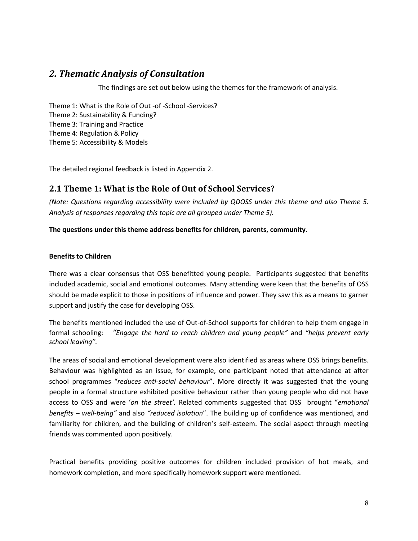#### <span id="page-7-0"></span>*2. Thematic Analysis of Consultation*

The findings are set out below using the themes for the framework of analysis.

Theme 1: What is the Role of Out -of -School -Services? Theme 2: Sustainability & Funding? Theme 3: Training and Practice Theme 4: Regulation & Policy Theme 5: Accessibility & Models

The detailed regional feedback is listed in Appendix 2.

#### <span id="page-7-1"></span>**2.1 Theme 1: What is the Role of Out of School Services?**

*(Note: Questions regarding accessibility were included by QDOSS under this theme and also Theme 5. Analysis of responses regarding this topic are all grouped under Theme 5).* 

#### **The questions under this theme address benefits for children, parents, community.**

#### **Benefits to Children**

There was a clear consensus that OSS benefitted young people. Participants suggested that benefits included academic, social and emotional outcomes. Many attending were keen that the benefits of OSS should be made explicit to those in positions of influence and power. They saw this as a means to garner support and justify the case for developing OSS.

The benefits mentioned included the use of Out-of-School supports for children to help them engage in formal schooling: *"Engage the hard to reach children and young people"* and *"helps prevent early school leaving".* 

The areas of social and emotional development were also identified as areas where OSS brings benefits. Behaviour was highlighted as an issue, for example, one participant noted that attendance at after school programmes "*reduces anti-social behaviour*". More directly it was suggested that the young people in a formal structure exhibited positive behaviour rather than young people who did not have access to OSS and were '*on the street'.* Related comments suggested that OSS brought "*emotional benefits – well-being"* and also *"reduced isolation*". The building up of confidence was mentioned, and familiarity for children, and the building of children's self-esteem. The social aspect through meeting friends was commented upon positively.

Practical benefits providing positive outcomes for children included provision of hot meals, and homework completion, and more specifically homework support were mentioned.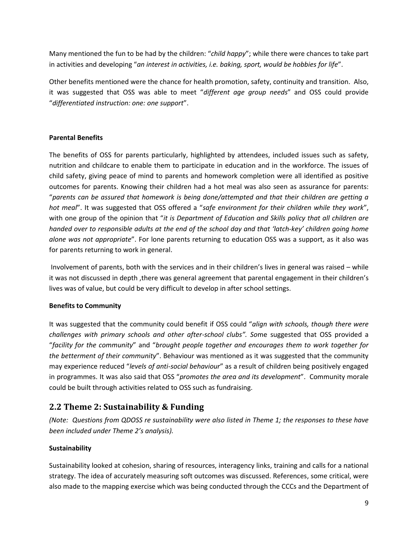Many mentioned the fun to be had by the children: "*child happy*"; while there were chances to take part in activities and developing "*an interest in activities, i.e. baking, sport, would be hobbies for life*".

Other benefits mentioned were the chance for health promotion, safety, continuity and transition. Also, it was suggested that OSS was able to meet "*different age group needs*" and OSS could provide "*differentiated instruction: one: one support*".

#### **Parental Benefits**

The benefits of OSS for parents particularly, highlighted by attendees, included issues such as safety, nutrition and childcare to enable them to participate in education and in the workforce. The issues of child safety, giving peace of mind to parents and homework completion were all identified as positive outcomes for parents. Knowing their children had a hot meal was also seen as assurance for parents: "*parents can be assured that homework is being done/attempted and that their children are getting a hot meal*". It was suggested that OSS offered a "*safe environment for their children while they work*", with one group of the opinion that "*it is Department of Education and Skills policy that all children are handed over to responsible adults at the end of the school day and that 'latch-key' children going home alone was not appropriate*". For lone parents returning to education OSS was a support, as it also was for parents returning to work in general.

Involvement of parents, both with the services and in their children's lives in general was raised – while it was not discussed in depth, there was general agreement that parental engagement in their children's lives was of value, but could be very difficult to develop in after school settings.

#### **Benefits to Community**

It was suggested that the community could benefit if OSS could "*align with schools, though there were challenges with primary schools and other after-school clubs". So*me suggested that OSS provided a "*facility for the community*" and "*brought people together and encourages them to work together for the betterment of their community*". Behaviour was mentioned as it was suggested that the community may experience reduced "*levels of anti-social behaviour*" as a result of children being positively engaged in programmes. It was also said that OSS "*promotes the area and its development*". Community morale could be built through activities related to OSS such as fundraising.

## <span id="page-8-0"></span>**2.2 Theme 2: Sustainability & Funding**

*(Note: Questions from QDOSS re sustainability were also listed in Theme 1; the responses to these have been included under Theme 2's analysis).* 

#### **Sustainability**

Sustainability looked at cohesion, sharing of resources, interagency links, training and calls for a national strategy. The idea of accurately measuring soft outcomes was discussed. References, some critical, were also made to the mapping exercise which was being conducted through the CCCs and the Department of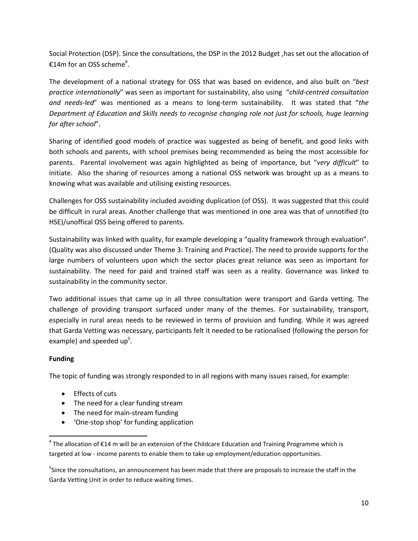Social Protection (DSP). Since the consultations, the DSP in the 2012 Budget ,has set out the allocation of €14m for an OSS scheme<sup>4</sup>.

The development of a national strategy for OSS that was based on evidence, and also built on "*best practice internationally*" was seen as important for sustainability, also using "*child-centred consultation and needs-led*" was mentioned as a means to long-term sustainability. It was stated that "*the Department of Education and Skills needs to recognise changing role not just for schools, huge learning for after school*".

Sharing of identified good models of practice was suggested as being of benefit, and good links with both schools and parents, with school premises being recommended as being the most accessible for parents. Parental involvement was again highlighted as being of importance, but "*very difficult*" to initiate. Also the sharing of resources among a national OSS network was brought up as a means to knowing what was available and utilising existing resources.

Challenges for OSS sustainability included avoiding duplication (of OSS). It was suggested that this could be difficult in rural areas. Another challenge that was mentioned in one area was that of unnotified (to HSE)/unoffical OSS being offered to parents.

Sustainability was linked with quality, for example developing a "quality framework through evaluation". (Quality was also discussed under Theme 3: Training and Practice). The need to provide supports for the large numbers of volunteers upon which the sector places great reliance was seen as important for sustainability. The need for paid and trained staff was seen as a reality. Governance was linked to sustainability in the community sector.

Two additional issues that came up in all three consultation were transport and Garda vetting. The challenge of providing transport surfaced under many of the themes. For sustainability, transport, especially in rural areas needs to be reviewed in terms of provision and funding. While it was agreed that Garda Vetting was necessary, participants felt it needed to be rationalised (following the person for example) and speeded up<sup>5</sup>.

#### **Funding**

 $\overline{a}$ 

The topic of funding was strongly responded to in all regions with many issues raised, for example:

- **•** Effects of cuts
- The need for a clear funding stream
- The need for main-stream funding
- 'One-stop shop' for funding application

<sup>&</sup>lt;sup>4</sup> The allocation of €14 m will be an extension of the Childcare Education and Training Programme which is targeted at low - income parents to enable them to take up employment/education opportunities.

<sup>&</sup>lt;sup>5</sup>Since the consultations, an announcement has been made that there are proposals to increase the staff in the Garda Vetting Unit in order to reduce waiting times.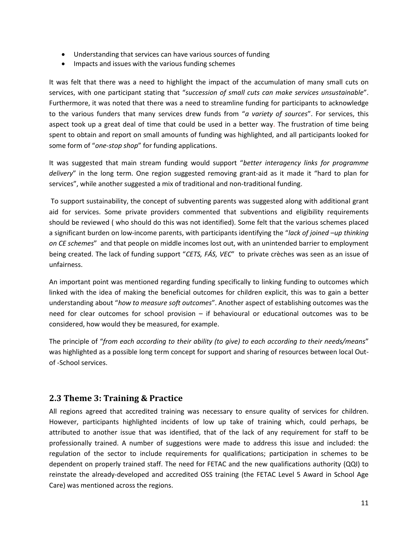- Understanding that services can have various sources of funding
- Impacts and issues with the various funding schemes

It was felt that there was a need to highlight the impact of the accumulation of many small cuts on services, with one participant stating that "*succession of small cuts can make services unsustainable*". Furthermore, it was noted that there was a need to streamline funding for participants to acknowledge to the various funders that many services drew funds from "*a variety of sources*". For services, this aspect took up a great deal of time that could be used in a better way. The frustration of time being spent to obtain and report on small amounts of funding was highlighted, and all participants looked for some form of "*one-stop shop*" for funding applications.

It was suggested that main stream funding would support "*better interagency links for programme delivery*" in the long term. One region suggested removing grant-aid as it made it "hard to plan for services", while another suggested a mix of traditional and non-traditional funding.

To support sustainability, the concept of subventing parents was suggested along with additional grant aid for services. Some private providers commented that subventions and eligibility requirements should be reviewed ( who should do this was not identified). Some felt that the various schemes placed a significant burden on low-income parents, with participants identifying the "*lack of joined –up thinking on CE schemes*" and that people on middle incomes lost out, with an unintended barrier to employment being created. The lack of funding support "*CETS, FÁS, VEC*" to private crèches was seen as an issue of unfairness.

An important point was mentioned regarding funding specifically to linking funding to outcomes which linked with the idea of making the beneficial outcomes for children explicit, this was to gain a better understanding about "*how to measure soft outcomes*". Another aspect of establishing outcomes was the need for clear outcomes for school provision – if behavioural or educational outcomes was to be considered, how would they be measured, for example.

The principle of "*from each according to their ability (to give) to each according to their needs/means*" was highlighted as a possible long term concept for support and sharing of resources between local Outof -School services.

#### <span id="page-10-0"></span>**2.3 Theme 3: Training & Practice**

All regions agreed that accredited training was necessary to ensure quality of services for children. However, participants highlighted incidents of low up take of training which, could perhaps, be attributed to another issue that was identified, that of the lack of any requirement for staff to be professionally trained. A number of suggestions were made to address this issue and included: the regulation of the sector to include requirements for qualifications; participation in schemes to be dependent on properly trained staff. The need for FETAC and the new qualifications authority (QQI) to reinstate the already-developed and accredited OSS training (the FETAC Level 5 Award in School Age Care) was mentioned across the regions.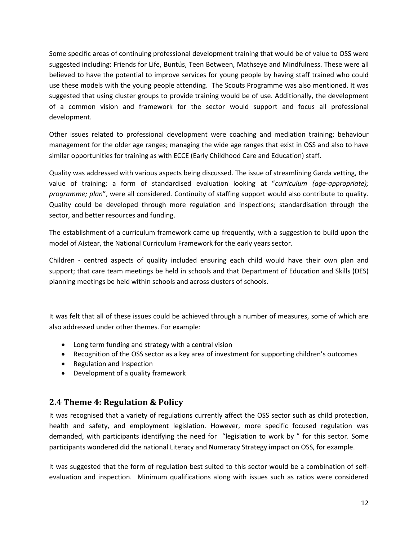Some specific areas of continuing professional development training that would be of value to OSS were suggested including: Friends for Life, Buntús, Teen Between, Mathseye and Mindfulness. These were all believed to have the potential to improve services for young people by having staff trained who could use these models with the young people attending. The Scouts Programme was also mentioned. It was suggested that using cluster groups to provide training would be of use. Additionally, the development of a common vision and framework for the sector would support and focus all professional development.

Other issues related to professional development were coaching and mediation training; behaviour management for the older age ranges; managing the wide age ranges that exist in OSS and also to have similar opportunities for training as with ECCE (Early Childhood Care and Education) staff.

Quality was addressed with various aspects being discussed. The issue of streamlining Garda vetting, the value of training; a form of standardised evaluation looking at "*curriculum (age-appropriate); programme; plan*", were all considered. Continuity of staffing support would also contribute to quality. Quality could be developed through more regulation and inspections; standardisation through the sector, and better resources and funding.

The establishment of a curriculum framework came up frequently, with a suggestion to build upon the model of Aístear, the National Curriculum Framework for the early years sector.

Children - centred aspects of quality included ensuring each child would have their own plan and support; that care team meetings be held in schools and that Department of Education and Skills (DES) planning meetings be held within schools and across clusters of schools.

It was felt that all of these issues could be achieved through a number of measures, some of which are also addressed under other themes. For example:

- Long term funding and strategy with a central vision
- Recognition of the OSS sector as a key area of investment for supporting children's outcomes
- Regulation and Inspection
- Development of a quality framework

#### <span id="page-11-0"></span>**2.4 Theme 4: Regulation & Policy**

It was recognised that a variety of regulations currently affect the OSS sector such as child protection, health and safety, and employment legislation. However, more specific focused regulation was demanded, with participants identifying the need for "legislation to work by " for this sector. Some participants wondered did the national Literacy and Numeracy Strategy impact on OSS, for example.

It was suggested that the form of regulation best suited to this sector would be a combination of selfevaluation and inspection. Minimum qualifications along with issues such as ratios were considered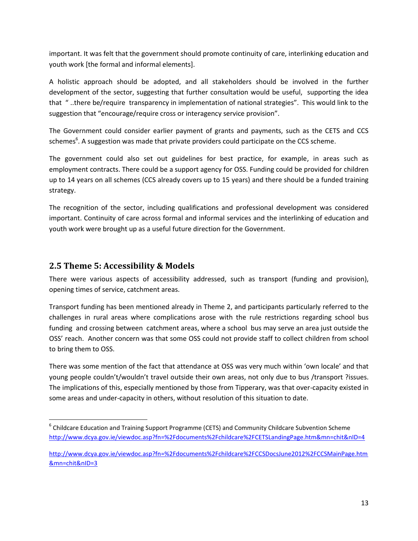important. It was felt that the government should promote continuity of care, interlinking education and youth work [the formal and informal elements].

A holistic approach should be adopted, and all stakeholders should be involved in the further development of the sector, suggesting that further consultation would be useful, supporting the idea that " ..there be/require transparency in implementation of national strategies". This would link to the suggestion that "encourage/require cross or interagency service provision".

The Government could consider earlier payment of grants and payments, such as the CETS and CCS schemes<sup>6</sup>. A suggestion was made that private providers could participate on the CCS scheme.

The government could also set out guidelines for best practice, for example, in areas such as employment contracts. There could be a support agency for OSS. Funding could be provided for children up to 14 years on all schemes (CCS already covers up to 15 years) and there should be a funded training strategy.

The recognition of the sector, including qualifications and professional development was considered important. Continuity of care across formal and informal services and the interlinking of education and youth work were brought up as a useful future direction for the Government.

#### <span id="page-12-0"></span>**2.5 Theme 5: Accessibility & Models**

There were various aspects of accessibility addressed, such as transport (funding and provision), opening times of service, catchment areas.

Transport funding has been mentioned already in Theme 2, and participants particularly referred to the challenges in rural areas where complications arose with the rule restrictions regarding school bus funding and crossing between catchment areas, where a school bus may serve an area just outside the OSS' reach. Another concern was that some OSS could not provide staff to collect children from school to bring them to OSS.

There was some mention of the fact that attendance at OSS was very much within 'own locale' and that young people couldn't/wouldn't travel outside their own areas, not only due to bus /transport ?issues. The implications of this, especially mentioned by those from Tipperary, was that over-capacity existed in some areas and under-capacity in others, without resolution of this situation to date.

 $\overline{a}$  $^6$  Childcare Education and Training Support Programme (CETS) and Community Childcare Subvention Scheme <http://www.dcya.gov.ie/viewdoc.asp?fn=%2Fdocuments%2Fchildcare%2FCETSLandingPage.htm&mn=chit&nID=4>

[http://www.dcya.gov.ie/viewdoc.asp?fn=%2Fdocuments%2Fchildcare%2FCCSDocsJune2012%2FCCSMainPage.htm](http://www.dcya.gov.ie/viewdoc.asp?fn=%2Fdocuments%2Fchildcare%2FCCSDocsJune2012%2FCCSMainPage.htm&mn=chit&nID=3) [&mn=chit&nID=3](http://www.dcya.gov.ie/viewdoc.asp?fn=%2Fdocuments%2Fchildcare%2FCCSDocsJune2012%2FCCSMainPage.htm&mn=chit&nID=3)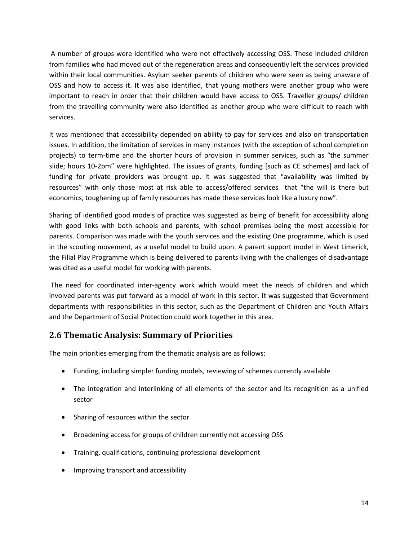A number of groups were identified who were not effectively accessing OSS. These included children from families who had moved out of the regeneration areas and consequently left the services provided within their local communities. Asylum seeker parents of children who were seen as being unaware of OSS and how to access it. It was also identified, that young mothers were another group who were important to reach in order that their children would have access to OSS. Traveller groups/ children from the travelling community were also identified as another group who were difficult to reach with services.

It was mentioned that accessibility depended on ability to pay for services and also on transportation issues. In addition, the limitation of services in many instances (with the exception of school completion projects) to term-time and the shorter hours of provision in summer services, such as "the summer slide; hours 10-2pm" were highlighted. The issues of grants, funding [such as CE schemes] and lack of funding for private providers was brought up. It was suggested that "availability was limited by resources" with only those most at risk able to access/offered services that "the will is there but economics, toughening up of family resources has made these services look like a luxury now".

Sharing of identified good models of practice was suggested as being of benefit for accessibility along with good links with both schools and parents, with school premises being the most accessible for parents. Comparison was made with the youth services and the existing One programme, which is used in the scouting movement, as a useful model to build upon. A parent support model in West Limerick, the Filial Play Programme which is being delivered to parents living with the challenges of disadvantage was cited as a useful model for working with parents.

The need for coordinated inter-agency work which would meet the needs of children and which involved parents was put forward as a model of work in this sector. It was suggested that Government departments with responsibilities in this sector, such as the Department of Children and Youth Affairs and the Department of Social Protection could work together in this area.

#### <span id="page-13-0"></span>**2.6 Thematic Analysis: Summary of Priorities**

The main priorities emerging from the thematic analysis are as follows:

- Funding, including simpler funding models, reviewing of schemes currently available
- The integration and interlinking of all elements of the sector and its recognition as a unified sector
- Sharing of resources within the sector
- Broadening access for groups of children currently not accessing OSS
- Training, qualifications, continuing professional development
- Improving transport and accessibility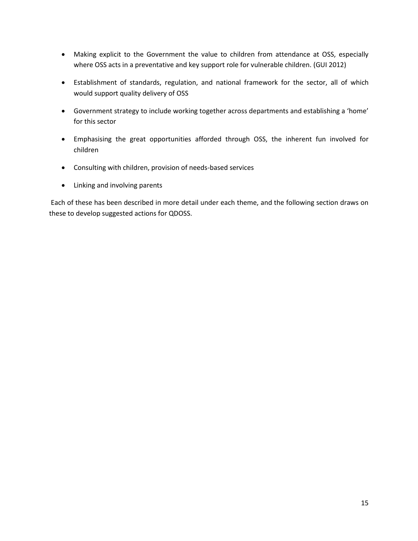- Making explicit to the Government the value to children from attendance at OSS, especially where OSS acts in a preventative and key support role for vulnerable children. (GUI 2012)
- Establishment of standards, regulation, and national framework for the sector, all of which would support quality delivery of OSS
- Government strategy to include working together across departments and establishing a 'home' for this sector
- Emphasising the great opportunities afforded through OSS, the inherent fun involved for children
- Consulting with children, provision of needs-based services
- Linking and involving parents

Each of these has been described in more detail under each theme, and the following section draws on these to develop suggested actions for QDOSS.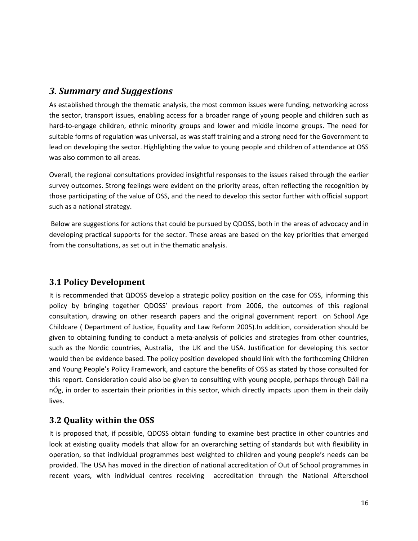## <span id="page-15-0"></span>*3. Summary and Suggestions*

As established through the thematic analysis, the most common issues were funding, networking across the sector, transport issues, enabling access for a broader range of young people and children such as hard-to-engage children, ethnic minority groups and lower and middle income groups. The need for suitable forms of regulation was universal, as was staff training and a strong need for the Government to lead on developing the sector. Highlighting the value to young people and children of attendance at OSS was also common to all areas.

Overall, the regional consultations provided insightful responses to the issues raised through the earlier survey outcomes. Strong feelings were evident on the priority areas, often reflecting the recognition by those participating of the value of OSS, and the need to develop this sector further with official support such as a national strategy.

Below are suggestions for actions that could be pursued by QDOSS, both in the areas of advocacy and in developing practical supports for the sector. These areas are based on the key priorities that emerged from the consultations, as set out in the thematic analysis.

## <span id="page-15-1"></span>**3.1 Policy Development**

It is recommended that QDOSS develop a strategic policy position on the case for OSS, informing this policy by bringing together QDOSS' previous report from 2006, the outcomes of this regional consultation, drawing on other research papers and the original government report on School Age Childcare ( Department of Justice, Equality and Law Reform 2005).In addition, consideration should be given to obtaining funding to conduct a meta-analysis of policies and strategies from other countries, such as the Nordic countries, Australia, the UK and the USA. Justification for developing this sector would then be evidence based. The policy position developed should link with the forthcoming Children and Young People's Policy Framework, and capture the benefits of OSS as stated by those consulted for this report. Consideration could also be given to consulting with young people, perhaps through Dáil na nÓg, in order to ascertain their priorities in this sector, which directly impacts upon them in their daily lives.

## <span id="page-15-2"></span>**3.2 Quality within the OSS**

It is proposed that, if possible, QDOSS obtain funding to examine best practice in other countries and look at existing quality models that allow for an overarching setting of standards but with flexibility in operation, so that individual programmes best weighted to children and young people's needs can be provided. The USA has moved in the direction of national accreditation of Out of School programmes in recent years, with individual centres receiving accreditation through the National Afterschool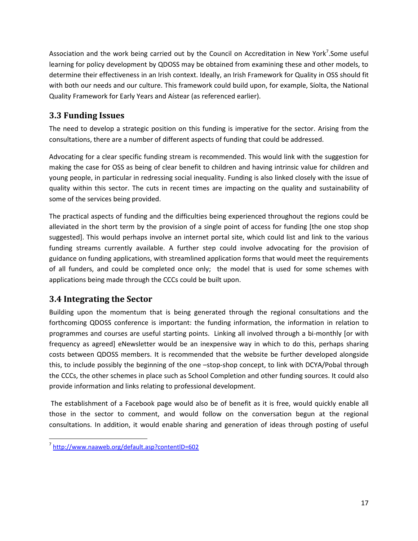Association and the work being carried out by the Council on Accreditation in New York<sup>7</sup>.Some useful learning for policy development by QDOSS may be obtained from examining these and other models, to determine their effectiveness in an Irish context. Ideally, an Irish Framework for Quality in OSS should fit with both our needs and our culture. This framework could build upon, for example, Síolta, the National Quality Framework for Early Years and Aístear (as referenced earlier).

## <span id="page-16-0"></span>**3.3 Funding Issues**

The need to develop a strategic position on this funding is imperative for the sector. Arising from the consultations, there are a number of different aspects of funding that could be addressed.

Advocating for a clear specific funding stream is recommended. This would link with the suggestion for making the case for OSS as being of clear benefit to children and having intrinsic value for children and young people, in particular in redressing social inequality. Funding is also linked closely with the issue of quality within this sector. The cuts in recent times are impacting on the quality and sustainability of some of the services being provided.

The practical aspects of funding and the difficulties being experienced throughout the regions could be alleviated in the short term by the provision of a single point of access for funding [the one stop shop suggested]. This would perhaps involve an internet portal site, which could list and link to the various funding streams currently available. A further step could involve advocating for the provision of guidance on funding applications, with streamlined application forms that would meet the requirements of all funders, and could be completed once only; the model that is used for some schemes with applications being made through the CCCs could be built upon.

## <span id="page-16-1"></span>**3.4 Integrating the Sector**

Building upon the momentum that is being generated through the regional consultations and the forthcoming QDOSS conference is important: the funding information, the information in relation to programmes and courses are useful starting points. Linking all involved through a bi-monthly [or with frequency as agreed] eNewsletter would be an inexpensive way in which to do this, perhaps sharing costs between QDOSS members. It is recommended that the website be further developed alongside this, to include possibly the beginning of the one -stop-shop concept, to link with DCYA/Pobal through the CCCs, the other schemes in place such as School Completion and other funding sources. It could also provide information and links relating to professional development.

The establishment of a Facebook page would also be of benefit as it is free, would quickly enable all those in the sector to comment, and would follow on the conversation begun at the regional consultations. In addition, it would enable sharing and generation of ideas through posting of useful

 $\overline{\phantom{a}}$ 

<sup>7</sup> <http://www.naaweb.org/default.asp?contentlD=602>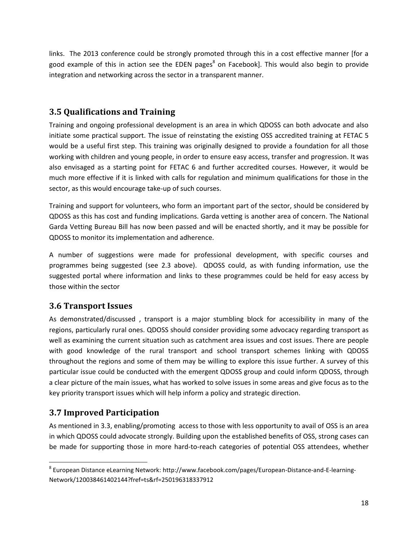links. The 2013 conference could be strongly promoted through this in a cost effective manner [for a good example of this in action see the EDEN pages<sup>8</sup> on Facebook]. This would also begin to provide integration and networking across the sector in a transparent manner.

## <span id="page-17-0"></span>**3.5 Qualifications and Training**

Training and ongoing professional development is an area in which QDOSS can both advocate and also initiate some practical support. The issue of reinstating the existing OSS accredited training at FETAC 5 would be a useful first step. This training was originally designed to provide a foundation for all those working with children and young people, in order to ensure easy access, transfer and progression. It was also envisaged as a starting point for FETAC 6 and further accredited courses. However, it would be much more effective if it is linked with calls for regulation and minimum qualifications for those in the sector, as this would encourage take-up of such courses.

Training and support for volunteers, who form an important part of the sector, should be considered by QDOSS as this has cost and funding implications. Garda vetting is another area of concern. The National Garda Vetting Bureau Bill has now been passed and will be enacted shortly, and it may be possible for QDOSS to monitor its implementation and adherence.

A number of suggestions were made for professional development, with specific courses and programmes being suggested (see 2.3 above). QDOSS could, as with funding information, use the suggested portal where information and links to these programmes could be held for easy access by those within the sector

## <span id="page-17-1"></span>**3.6 Transport Issues**

As demonstrated/discussed , transport is a major stumbling block for accessibility in many of the regions, particularly rural ones. QDOSS should consider providing some advocacy regarding transport as well as examining the current situation such as catchment area issues and cost issues. There are people with good knowledge of the rural transport and school transport schemes linking with QDOSS throughout the regions and some of them may be willing to explore this issue further. A survey of this particular issue could be conducted with the emergent QDOSS group and could inform QDOSS, through a clear picture of the main issues, what has worked to solve issues in some areas and give focus as to the key priority transport issues which will help inform a policy and strategic direction.

## <span id="page-17-2"></span>**3.7 Improved Participation**

 $\overline{\phantom{a}}$ 

As mentioned in 3.3, enabling/promoting access to those with less opportunity to avail of OSS is an area in which QDOSS could advocate strongly. Building upon the established benefits of OSS, strong cases can be made for supporting those in more hard-to-reach categories of potential OSS attendees, whether

<sup>&</sup>lt;sup>8</sup> European Distance eLearning Network: http://www.facebook.com/pages/European-Distance-and-E-learning-Network/120038461402144?fref=ts&rf=250196318337912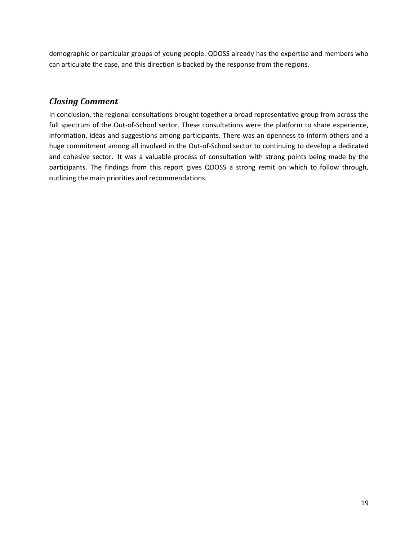demographic or particular groups of young people. QDOSS already has the expertise and members who can articulate the case, and this direction is backed by the response from the regions.

#### <span id="page-18-0"></span>*Closing Comment*

In conclusion, the regional consultations brought together a broad representative group from across the full spectrum of the Out-of-School sector. These consultations were the platform to share experience, information, ideas and suggestions among participants. There was an openness to inform others and a huge commitment among all involved in the Out-of-School sector to continuing to develop a dedicated and cohesive sector. It was a valuable process of consultation with strong points being made by the participants. The findings from this report gives QDOSS a strong remit on which to follow through, outlining the main priorities and recommendations.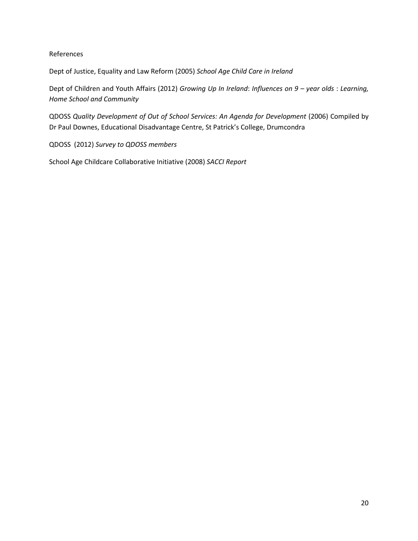References

Dept of Justice, Equality and Law Reform (2005) *School Age Child Care in Ireland*

Dept of Children and Youth Affairs (2012) *Growing Up In Ireland*: *Influences on 9 – year olds* : *Learning, Home School and Community* 

QDOSS *Quality Development of Out of School Services: An Agenda for Development* (2006) Compiled by Dr Paul Downes, Educational Disadvantage Centre, St Patrick's College, Drumcondra

QDOSS (2012) *Survey to QDOSS members*

School Age Childcare Collaborative Initiative (2008) *SACCI Report*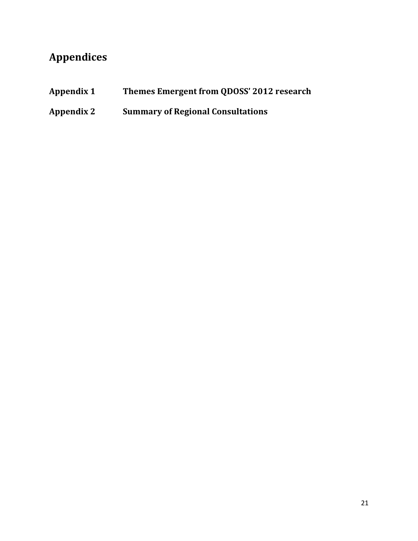## <span id="page-20-0"></span>**Appendices**

- **Appendix 1 Themes Emergent from QDOSS' 2012 research**
- **Appendix 2 Summary of Regional Consultations**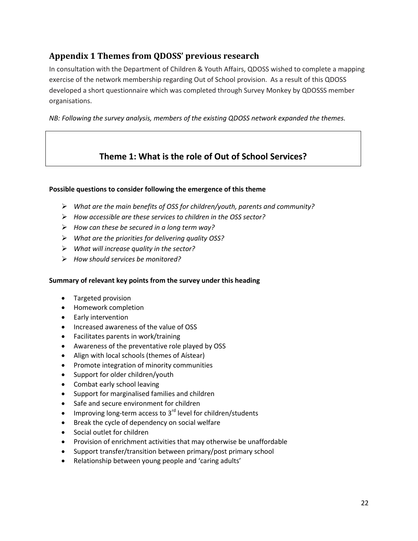## <span id="page-21-0"></span>**Appendix 1 Themes from QDOSS' previous research**

In consultation with the Department of Children & Youth Affairs, QDOSS wished to complete a mapping exercise of the network membership regarding Out of School provision. As a result of this QDOSS developed a short questionnaire which was completed through Survey Monkey by QDOSSS member organisations.

*NB: Following the survey analysis, members of the existing QDOSS network expanded the themes.* 

## **Theme 1: What is the role of Out of School Services?**

#### **Possible questions to consider following the emergence of this theme**

- *What are the main benefits of OSS for children/youth, parents and community?*
- *How accessible are these services to children in the OSS sector?*
- *How can these be secured in a long term way?*
- *What are the priorities for delivering quality OSS?*
- *What will increase quality in the sector?*
- *How should services be monitored?*

#### **Summary of relevant key points from the survey under this heading**

- Targeted provision
- Homework completion
- Early intervention
- Increased awareness of the value of OSS
- Facilitates parents in work/training
- Awareness of the preventative role played by OSS
- Align with local schools (themes of Aístear)
- Promote integration of minority communities
- Support for older children/youth
- Combat early school leaving
- Support for marginalised families and children
- Safe and secure environment for children
- $\bullet$  Improving long-term access to 3<sup>rd</sup> level for children/students
- Break the cycle of dependency on social welfare
- Social outlet for children
- Provision of enrichment activities that may otherwise be unaffordable
- Support transfer/transition between primary/post primary school
- Relationship between young people and 'caring adults'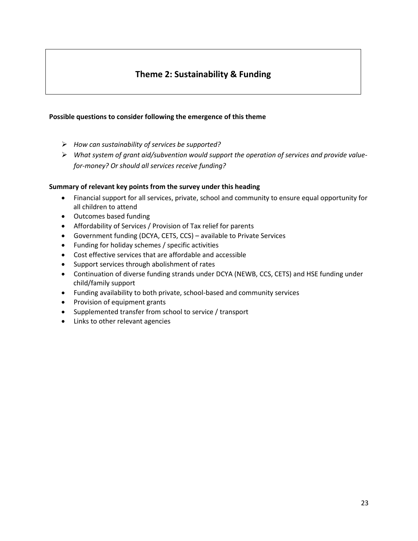## **Theme 2: Sustainability & Funding**

#### **Possible questions to consider following the emergence of this theme**

- *How can sustainability of services be supported?*
- *What system of grant aid/subvention would support the operation of services and provide valuefor-money? Or should all services receive funding?*

#### **Summary of relevant key points from the survey under this heading**

- Financial support for all services, private, school and community to ensure equal opportunity for all children to attend
- Outcomes based funding
- Affordability of Services / Provision of Tax relief for parents
- Government funding (DCYA, CETS, CCS) available to Private Services
- Funding for holiday schemes / specific activities
- Cost effective services that are affordable and accessible
- Support services through abolishment of rates
- Continuation of diverse funding strands under DCYA (NEWB, CCS, CETS) and HSE funding under child/family support
- Funding availability to both private, school-based and community services
- Provision of equipment grants
- Supplemented transfer from school to service / transport
- Links to other relevant agencies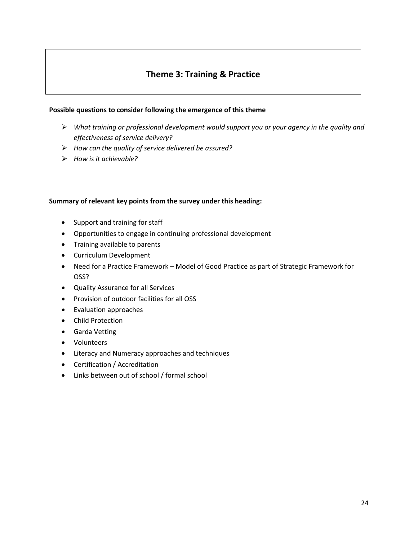## **Theme 3: Training & Practice**

#### **Possible questions to consider following the emergence of this theme**

- *What training or professional development would support you or your agency in the quality and effectiveness of service delivery?*
- *How can the quality of service delivered be assured?*
- *How is it achievable?*

#### **Summary of relevant key points from the survey under this heading:**

- Support and training for staff
- Opportunities to engage in continuing professional development
- Training available to parents
- Curriculum Development
- Need for a Practice Framework Model of Good Practice as part of Strategic Framework for OSS?
- Quality Assurance for all Services
- Provision of outdoor facilities for all OSS
- Evaluation approaches
- Child Protection
- Garda Vetting
- Volunteers
- Literacy and Numeracy approaches and techniques
- Certification / Accreditation
- Links between out of school / formal school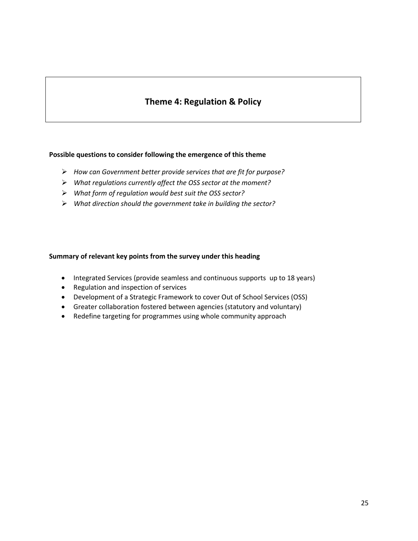## **Theme 4: Regulation & Policy**

#### **Possible questions to consider following the emergence of this theme**

- *How can Government better provide services that are fit for purpose?*
- *What regulations currently affect the OSS sector at the moment?*
- *What form of regulation would best suit the OSS sector?*
- *What direction should the government take in building the sector?*

#### **Summary of relevant key points from the survey under this heading**

- Integrated Services (provide seamless and continuous supports up to 18 years)
- Regulation and inspection of services
- Development of a Strategic Framework to cover Out of School Services (OSS)
- Greater collaboration fostered between agencies (statutory and voluntary)
- Redefine targeting for programmes using whole community approach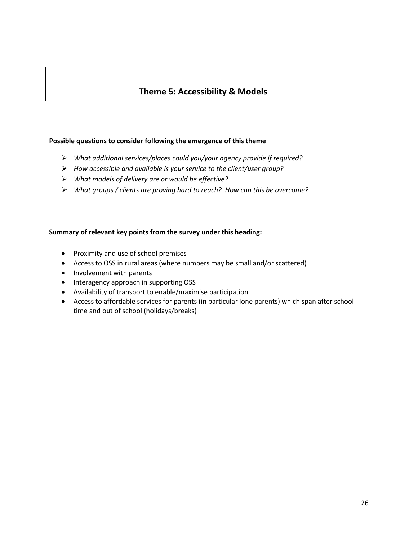## **Theme 5: Accessibility & Models**

#### **Possible questions to consider following the emergence of this theme**

- *What additional services/places could you/your agency provide if required?*
- *How accessible and available is your service to the client/user group?*
- *What models of delivery are or would be effective?*
- *What groups / clients are proving hard to reach? How can this be overcome?*

#### **Summary of relevant key points from the survey under this heading:**

- Proximity and use of school premises
- Access to OSS in rural areas (where numbers may be small and/or scattered)
- Involvement with parents
- Interagency approach in supporting OSS
- Availability of transport to enable/maximise participation
- Access to affordable services for parents (in particular lone parents) which span after school time and out of school (holidays/breaks)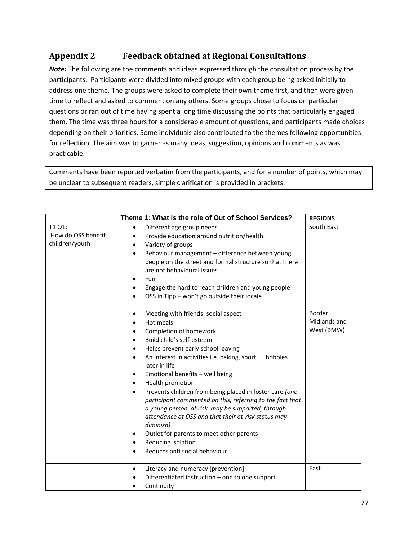## <span id="page-26-0"></span>**Appendix 2 Feedback obtained at Regional Consultations**

*Note:* The following are the comments and ideas expressed through the consultation process by the participants. Participants were divided into mixed groups with each group being asked initially to address one theme. The groups were asked to complete their own theme first, and then were given time to reflect and asked to comment on any others. Some groups chose to focus on particular questions or ran out of time having spent a long time discussing the points that particularly engaged them. The time was three hours for a considerable amount of questions, and participants made choices depending on their priorities. Some individuals also contributed to the themes following opportunities for reflection. The aim was to garner as many ideas, suggestion, opinions and comments as was practicable.

Comments have been reported verbatim from the participants, and for a number of points, which may be unclear to subsequent readers, simple clarification is provided in brackets.

|                                                | Theme 1: What is the role of Out of School Services?                                                                                                                                                                                                                                                                                                                                                                                                                                                                                                                                                                                                                                                                                              | <b>REGIONS</b>                        |
|------------------------------------------------|---------------------------------------------------------------------------------------------------------------------------------------------------------------------------------------------------------------------------------------------------------------------------------------------------------------------------------------------------------------------------------------------------------------------------------------------------------------------------------------------------------------------------------------------------------------------------------------------------------------------------------------------------------------------------------------------------------------------------------------------------|---------------------------------------|
| T1 Q1:<br>How do OSS benefit<br>children/youth | Different age group needs<br>$\bullet$<br>Provide education around nutrition/health<br>Variety of groups<br>$\bullet$<br>Behaviour management - difference between young<br>$\bullet$<br>people on the street and formal structure so that there<br>are not behavioural issues<br>Fun<br>Engage the hard to reach children and young people<br>٠<br>OSS in Tipp - won't go outside their locale<br>$\bullet$                                                                                                                                                                                                                                                                                                                                      | South East                            |
|                                                | Meeting with friends: social aspect<br>$\bullet$<br>Hot meals<br>٠<br>Completion of homework<br>$\bullet$<br>Build child's self-esteem<br>$\bullet$<br>Helps prevent early school leaving<br>An interest in activities i.e. baking, sport,<br>hobbies<br>$\bullet$<br>later in life<br>Emotional benefits - well being<br>$\bullet$<br>Health promotion<br>$\bullet$<br>Prevents children from being placed in foster care (one<br>$\bullet$<br>participant commented on this, referring to the fact that<br>a young person at risk may be supported, through<br>attendance at OSS and that their at-risk status may<br>diminish)<br>Outlet for parents to meet other parents<br>Reducing isolation<br>$\bullet$<br>Reduces anti social behaviour | Border,<br>Midlands and<br>West (BMW) |
|                                                | Literacy and numeracy [prevention]<br>٠<br>Differentiated instruction - one to one support<br>Continuity                                                                                                                                                                                                                                                                                                                                                                                                                                                                                                                                                                                                                                          | East                                  |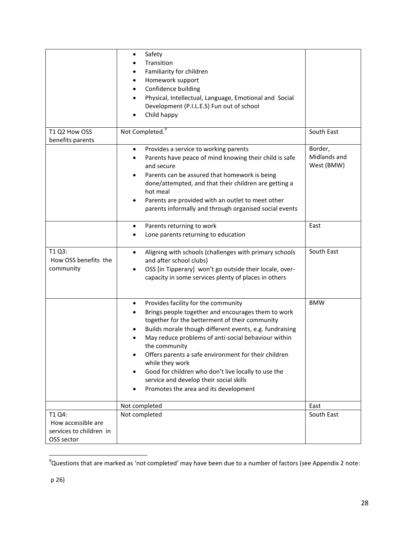|                                                                       | Safety<br>$\bullet$<br>Transition<br>Familiarity for children<br>٠<br>Homework support<br>٠<br>Confidence building<br>$\bullet$<br>Physical, Intellectual, Language, Emotional and Social<br>Development (P.I.L.E.S) Fun out of school<br>Child happy                                                                                                                                                                                                                                                                                       |                                       |
|-----------------------------------------------------------------------|---------------------------------------------------------------------------------------------------------------------------------------------------------------------------------------------------------------------------------------------------------------------------------------------------------------------------------------------------------------------------------------------------------------------------------------------------------------------------------------------------------------------------------------------|---------------------------------------|
| T1 Q2 How OSS<br>benefits parents                                     | Not Completed. <sup>9</sup>                                                                                                                                                                                                                                                                                                                                                                                                                                                                                                                 | South East                            |
|                                                                       | Provides a service to working parents<br>$\bullet$<br>Parents have peace of mind knowing their child is safe<br>$\bullet$<br>and secure<br>Parents can be assured that homework is being<br>٠<br>done/attempted, and that their children are getting a<br>hot meal<br>Parents are provided with an outlet to meet other<br>parents informally and through organised social events                                                                                                                                                           | Border,<br>Midlands and<br>West (BMW) |
|                                                                       | Parents returning to work<br>$\bullet$<br>Lone parents returning to education<br>٠                                                                                                                                                                                                                                                                                                                                                                                                                                                          | East                                  |
| T1 Q3:<br>How OSS benefits the<br>community                           | Aligning with schools (challenges with primary schools<br>$\bullet$<br>and after school clubs)<br>OSS [in Tipperary] won't go outside their locale, over-<br>٠<br>capacity in some services plenty of places in others                                                                                                                                                                                                                                                                                                                      | South East                            |
|                                                                       | Provides facility for the community<br>$\bullet$<br>Brings people together and encourages them to work<br>together for the betterment of their community<br>Builds morale though different events, e.g. fundraising<br>$\bullet$<br>May reduce problems of anti-social behaviour within<br>the community<br>Offers parents a safe environment for their children<br>while they work<br>Good for children who don't live locally to use the<br>$\bullet$<br>service and develop their social skills<br>Promotes the area and its development | <b>BMW</b>                            |
|                                                                       | Not completed                                                                                                                                                                                                                                                                                                                                                                                                                                                                                                                               | East                                  |
| T1 Q4:<br>How accessible are<br>services to children in<br>OSS sector | Not completed                                                                                                                                                                                                                                                                                                                                                                                                                                                                                                                               | South East                            |

 9 Questions that are marked as 'not completed' may have been due to a number of factors (see Appendix 2 note: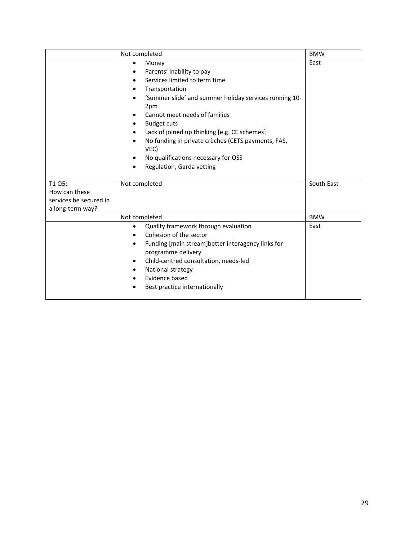|                                                                       | Not completed                                                                                                                                                                                                                                                                                                                                                                                                                       | <b>BMW</b> |
|-----------------------------------------------------------------------|-------------------------------------------------------------------------------------------------------------------------------------------------------------------------------------------------------------------------------------------------------------------------------------------------------------------------------------------------------------------------------------------------------------------------------------|------------|
|                                                                       | Money<br>Parents' inability to pay<br>Services limited to term time<br>٠<br>Transportation<br>'Summer slide' and summer holiday services running 10-<br>٠<br>2pm<br>Cannot meet needs of families<br><b>Budget cuts</b><br>$\bullet$<br>Lack of joined up thinking [e.g. CE schemes]<br>No funding in private crèches (CETS payments, FAS,<br>$\bullet$<br>VEC)<br>No qualifications necessary for OSS<br>Regulation, Garda vetting | East       |
| T1 Q5:<br>How can these<br>services be secured in<br>a long-term way? | Not completed                                                                                                                                                                                                                                                                                                                                                                                                                       | South East |
|                                                                       | Not completed                                                                                                                                                                                                                                                                                                                                                                                                                       | <b>BMW</b> |
|                                                                       | Quality framework through evaluation<br>٠<br>Cohesion of the sector<br>$\bullet$<br>Funding [main stream]better interagency links for<br>$\bullet$<br>programme delivery<br>Child-centred consultation, needs-led<br>٠<br>National strategy<br>Evidence based<br>Best practice internationally                                                                                                                                      | East       |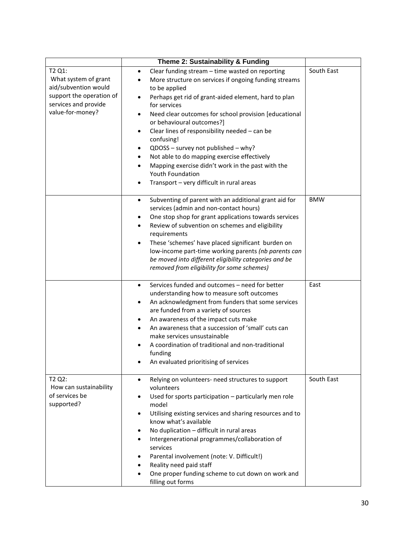|                                                                                                                                | Theme 2: Sustainability & Funding                                                                                                                                                                                                                                                                                                                                                                                                                                                                                                                                                                                                                  |            |
|--------------------------------------------------------------------------------------------------------------------------------|----------------------------------------------------------------------------------------------------------------------------------------------------------------------------------------------------------------------------------------------------------------------------------------------------------------------------------------------------------------------------------------------------------------------------------------------------------------------------------------------------------------------------------------------------------------------------------------------------------------------------------------------------|------------|
| T2 Q1:<br>What system of grant<br>aid/subvention would<br>support the operation of<br>services and provide<br>value-for-money? | Clear funding stream - time wasted on reporting<br>$\bullet$<br>More structure on services if ongoing funding streams<br>٠<br>to be applied<br>Perhaps get rid of grant-aided element, hard to plan<br>for services<br>Need clear outcomes for school provision [educational<br>$\bullet$<br>or behavioural outcomes?]<br>Clear lines of responsibility needed - can be<br>$\bullet$<br>confusing!<br>QDOSS - survey not published - why?<br>٠<br>Not able to do mapping exercise effectively<br>$\bullet$<br>Mapping exercise didn't work in the past with the<br>$\bullet$<br>Youth Foundation<br>Transport - very difficult in rural areas<br>٠ | South East |
|                                                                                                                                | Subventing of parent with an additional grant aid for<br>$\bullet$<br>services (admin and non-contact hours)<br>One stop shop for grant applications towards services<br>٠<br>Review of subvention on schemes and eligibility<br>$\bullet$<br>requirements<br>These 'schemes' have placed significant burden on<br>٠<br>low-income part-time working parents (nb parents can<br>be moved into different eligibility categories and be<br>removed from eligibility for some schemes)                                                                                                                                                                | <b>BMW</b> |
|                                                                                                                                | Services funded and outcomes - need for better<br>$\bullet$<br>understanding how to measure soft outcomes<br>An acknowledgment from funders that some services<br>٠<br>are funded from a variety of sources<br>An awareness of the impact cuts make<br>٠<br>An awareness that a succession of 'small' cuts can<br>make services unsustainable<br>A coordination of traditional and non-traditional<br>funding<br>An evaluated prioritising of services                                                                                                                                                                                             | East       |
| T2 Q2:<br>How can sustainability<br>of services be<br>supported?                                                               | Relying on volunteers- need structures to support<br>$\bullet$<br>volunteers<br>Used for sports participation - particularly men role<br>٠<br>model<br>Utilising existing services and sharing resources and to<br>٠<br>know what's available<br>No duplication - difficult in rural areas<br>$\bullet$<br>Intergenerational programmes/collaboration of<br>services<br>Parental involvement (note: V. Difficult!)<br>٠<br>Reality need paid staff<br>٠<br>One proper funding scheme to cut down on work and<br>filling out forms                                                                                                                  | South East |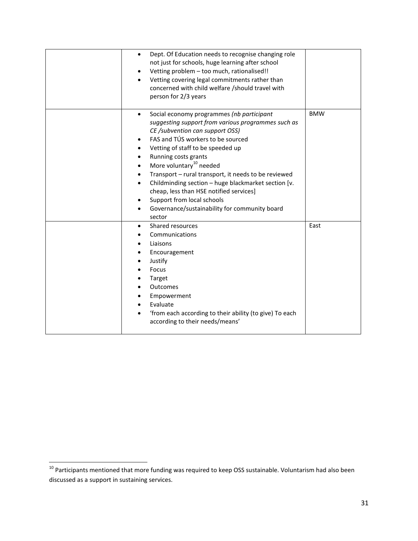| Dept. Of Education needs to recognise changing role<br>$\bullet$<br>not just for schools, huge learning after school<br>Vetting problem - too much, rationalised!!<br>Vetting covering legal commitments rather than<br>concerned with child welfare /should travel with<br>person for 2/3 years                                                                                                                                                                                                                                                                                   |            |
|------------------------------------------------------------------------------------------------------------------------------------------------------------------------------------------------------------------------------------------------------------------------------------------------------------------------------------------------------------------------------------------------------------------------------------------------------------------------------------------------------------------------------------------------------------------------------------|------------|
| Social economy programmes (nb participant<br>$\bullet$<br>suggesting support from various programmes such as<br>CE /subvention can support OSS)<br>FAS and TÚS workers to be sourced<br>Vetting of staff to be speeded up<br>Running costs grants<br>More voluntary <sup>10</sup> needed<br>$\bullet$<br>Transport - rural transport, it needs to be reviewed<br>$\bullet$<br>Childminding section - huge blackmarket section [v.<br>$\bullet$<br>cheap, less than HSE notified services]<br>Support from local schools<br>Governance/sustainability for community board<br>sector | <b>BMW</b> |
| Shared resources<br>٠<br>Communications<br>Liaisons<br>Encouragement<br>Justify<br>Focus<br>Target<br>Outcomes<br>Empowerment<br>Evaluate<br>'from each according to their ability (to give) To each<br>according to their needs/means'                                                                                                                                                                                                                                                                                                                                            | East       |

 $\overline{\phantom{a}}$ 

 $^{10}$  Participants mentioned that more funding was required to keep OSS sustainable. Voluntarism had also been discussed as a support in sustaining services.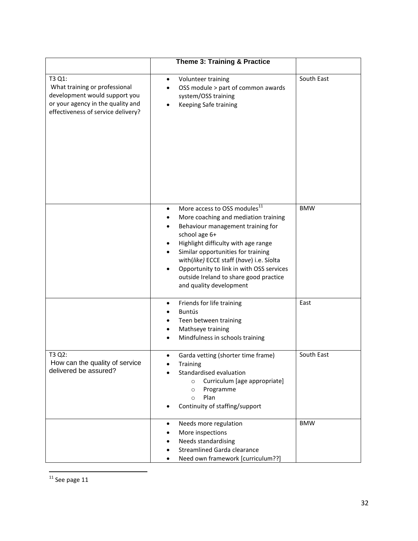|                                                                                                                                                     | Theme 3: Training & Practice                                                                                                                                                                                                                                                                                                                                                                                           |            |
|-----------------------------------------------------------------------------------------------------------------------------------------------------|------------------------------------------------------------------------------------------------------------------------------------------------------------------------------------------------------------------------------------------------------------------------------------------------------------------------------------------------------------------------------------------------------------------------|------------|
| T3 Q1:<br>What training or professional<br>development would support you<br>or your agency in the quality and<br>effectiveness of service delivery? | Volunteer training<br>$\bullet$<br>OSS module > part of common awards<br>system/OSS training<br>Keeping Safe training<br>$\bullet$                                                                                                                                                                                                                                                                                     | South East |
|                                                                                                                                                     | More access to OSS modules <sup>11</sup><br>$\bullet$<br>More coaching and mediation training<br>٠<br>Behaviour management training for<br>٠<br>school age 6+<br>Highlight difficulty with age range<br>٠<br>Similar opportunities for training<br>٠<br>with(like) ECCE staff (have) i.e. Síolta<br>Opportunity to link in with OSS services<br>٠<br>outside Ireland to share good practice<br>and quality development | <b>BMW</b> |
|                                                                                                                                                     | Friends for life training<br>$\bullet$<br><b>Buntús</b><br>Teen between training<br>Mathseye training<br>٠<br>Mindfulness in schools training                                                                                                                                                                                                                                                                          | East       |
| T3 Q2:<br>How can the quality of service<br>delivered be assured?                                                                                   | Garda vetting (shorter time frame)<br>٠<br>Training<br>Standardised evaluation<br>Curriculum [age appropriate]<br>$\Omega$<br>Programme<br>$\circ$<br>Plan<br>$\circ$<br>Continuity of staffing/support                                                                                                                                                                                                                | South East |
|                                                                                                                                                     | Needs more regulation<br>٠<br>More inspections<br>Needs standardising<br><b>Streamlined Garda clearance</b><br>Need own framework [curriculum??]<br>٠                                                                                                                                                                                                                                                                  | <b>BMW</b> |

l  $11$  See page 11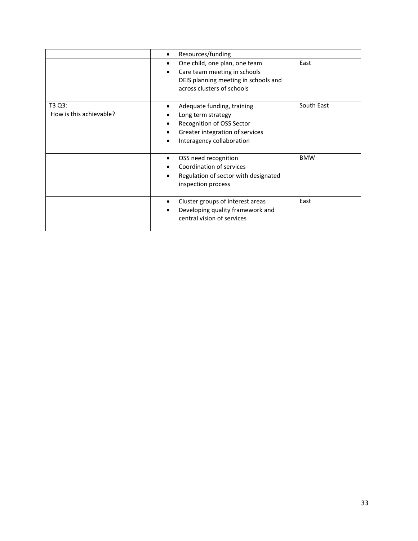|                                   | Resources/funding                                                                                                                                            |            |
|-----------------------------------|--------------------------------------------------------------------------------------------------------------------------------------------------------------|------------|
|                                   | One child, one plan, one team<br>٠<br>Care team meeting in schools<br>DEIS planning meeting in schools and<br>across clusters of schools                     | East       |
| T3 Q3:<br>How is this achievable? | Adequate funding, training<br>Long term strategy<br>Recognition of OSS Sector<br>٠<br>Greater integration of services<br>٠<br>Interagency collaboration<br>٠ | South East |
|                                   | OSS need recognition<br>Coordination of services<br>Regulation of sector with designated<br>inspection process                                               | <b>BMW</b> |
|                                   | Cluster groups of interest areas<br>Developing quality framework and<br>central vision of services                                                           | East       |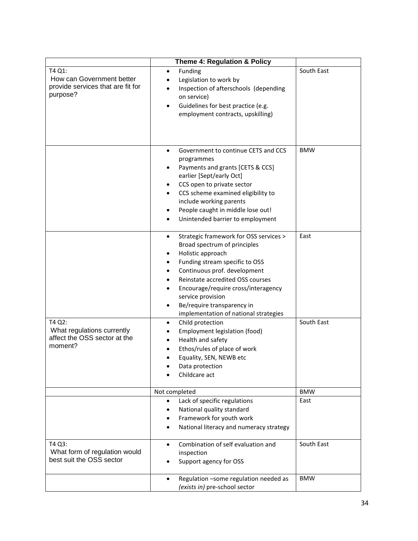|                                                                                      | Theme 4: Regulation & Policy                                                                                                                                                                                                                                                                                                                                                                            |            |
|--------------------------------------------------------------------------------------|---------------------------------------------------------------------------------------------------------------------------------------------------------------------------------------------------------------------------------------------------------------------------------------------------------------------------------------------------------------------------------------------------------|------------|
| T4 Q1:<br>How can Government better<br>provide services that are fit for<br>purpose? | Funding<br>$\bullet$<br>Legislation to work by<br>$\bullet$<br>Inspection of afterschools (depending<br>$\bullet$<br>on service)<br>Guidelines for best practice (e.g.<br>$\bullet$<br>employment contracts, upskilling)                                                                                                                                                                                | South East |
|                                                                                      | Government to continue CETS and CCS<br>programmes<br>Payments and grants [CETS & CCS]<br>٠<br>earlier [Sept/early Oct]<br>CCS open to private sector<br>٠<br>CCS scheme examined eligibility to<br>٠<br>include working parents<br>People caught in middle lose out!<br>٠<br>Unintended barrier to employment<br>$\bullet$                                                                              | <b>BMW</b> |
|                                                                                      | Strategic framework for OSS services ><br>$\bullet$<br>Broad spectrum of principles<br>Holistic approach<br>٠<br>Funding stream specific to OSS<br>$\bullet$<br>Continuous prof. development<br>$\bullet$<br>Reinstate accredited OSS courses<br>٠<br>Encourage/require cross/interagency<br>$\bullet$<br>service provision<br>Be/require transparency in<br>٠<br>implementation of national strategies | East       |
| T4 Q2:<br>What regulations currently<br>affect the OSS sector at the<br>moment?      | Child protection<br>$\bullet$<br>Employment legislation (food)<br>Health and safety<br>Ethos/rules of place of work<br>$\bullet$<br>Equality, SEN, NEWB etc<br>Data protection<br>Childcare act                                                                                                                                                                                                         | South East |
|                                                                                      | Not completed                                                                                                                                                                                                                                                                                                                                                                                           | <b>BMW</b> |
|                                                                                      | Lack of specific regulations<br>National quality standard<br>Framework for youth work<br>٠<br>National literacy and numeracy strategy<br>$\bullet$                                                                                                                                                                                                                                                      | East       |
| T4 Q3:<br>What form of regulation would<br>best suit the OSS sector                  | Combination of self evaluation and<br>$\bullet$<br>inspection<br>Support agency for OSS                                                                                                                                                                                                                                                                                                                 | South East |
|                                                                                      | Regulation -some regulation needed as<br>$\bullet$<br>(exists in) pre-school sector                                                                                                                                                                                                                                                                                                                     | <b>BMW</b> |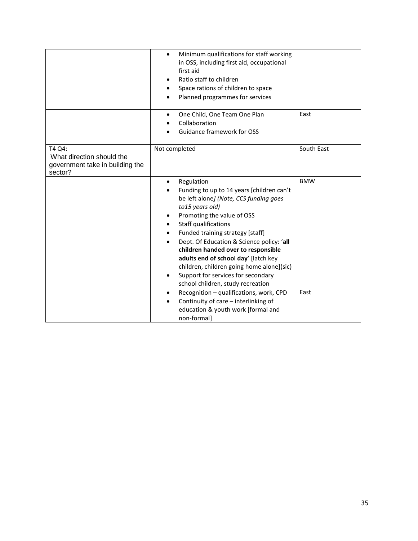|                                                                                   | Minimum qualifications for staff working<br>$\bullet$<br>in OSS, including first aid, occupational<br>first aid<br>Ratio staff to children<br>٠<br>Space rations of children to space<br>٠<br>Planned programmes for services                                                                                                                                                                                                                                                                          |            |
|-----------------------------------------------------------------------------------|--------------------------------------------------------------------------------------------------------------------------------------------------------------------------------------------------------------------------------------------------------------------------------------------------------------------------------------------------------------------------------------------------------------------------------------------------------------------------------------------------------|------------|
|                                                                                   | One Child, One Team One Plan<br>Collaboration<br>Guidance framework for OSS                                                                                                                                                                                                                                                                                                                                                                                                                            | East       |
| T4 Q4:<br>What direction should the<br>government take in building the<br>sector? | Not completed                                                                                                                                                                                                                                                                                                                                                                                                                                                                                          | South East |
|                                                                                   | Regulation<br>$\bullet$<br>Funding to up to 14 years [children can't<br>be left alone] (Note, CCS funding goes<br>to15 years old)<br>Promoting the value of OSS<br>٠<br>Staff qualifications<br>٠<br>Funded training strategy [staff]<br>$\bullet$<br>Dept. Of Education & Science policy: 'all<br>children handed over to responsible<br>adults end of school day' [latch key<br>children, children going home alone](sic)<br>Support for services for secondary<br>school children, study recreation | <b>BMW</b> |
|                                                                                   | Recognition - qualifications, work, CPD<br>$\bullet$<br>Continuity of care - interlinking of<br>٠<br>education & youth work [formal and<br>non-formal]                                                                                                                                                                                                                                                                                                                                                 | East       |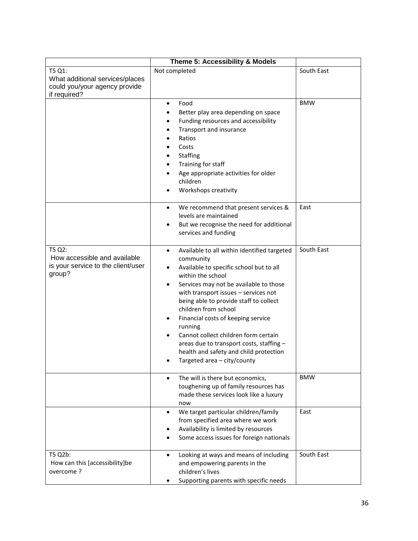|                                                                                            | <b>Theme 5: Accessibility &amp; Models</b>                                                                                                                                                                                                                                                                                                                                                                                                                                                                             |            |
|--------------------------------------------------------------------------------------------|------------------------------------------------------------------------------------------------------------------------------------------------------------------------------------------------------------------------------------------------------------------------------------------------------------------------------------------------------------------------------------------------------------------------------------------------------------------------------------------------------------------------|------------|
| T5 Q1:<br>What additional services/places<br>could you/your agency provide<br>if required? | Not completed                                                                                                                                                                                                                                                                                                                                                                                                                                                                                                          | South East |
|                                                                                            | Food<br>$\bullet$<br>Better play area depending on space<br>$\bullet$<br>Funding resources and accessibility<br>٠<br>Transport and insurance<br>٠<br>Ratios<br>$\bullet$<br>Costs<br>$\bullet$<br><b>Staffing</b><br>٠<br>Training for staff<br>$\bullet$<br>Age appropriate activities for older<br>٠<br>children<br>Workshops creativity                                                                                                                                                                             | <b>BMW</b> |
|                                                                                            | We recommend that present services &<br>٠<br>levels are maintained<br>But we recognise the need for additional<br>٠<br>services and funding                                                                                                                                                                                                                                                                                                                                                                            | East       |
| T5 Q2:<br>How accessible and available<br>is your service to the client/user<br>group?     | Available to all within identified targeted<br>$\bullet$<br>community<br>Available to specific school but to all<br>٠<br>within the school<br>Services may not be available to those<br>٠<br>with transport issues - services not<br>being able to provide staff to collect<br>children from school<br>Financial costs of keeping service<br>٠<br>running<br>Cannot collect children form certain<br>areas due to transport costs, staffing -<br>health and safety and child protection<br>Targeted area - city/county | South East |
|                                                                                            | The will is there but economics,<br>$\bullet$<br>toughening up of family resources has<br>made these services look like a luxury<br>now                                                                                                                                                                                                                                                                                                                                                                                | <b>BMW</b> |
|                                                                                            | We target particular children/family<br>$\bullet$<br>from specified area where we work<br>Availability is limited by resources<br>Some access issues for foreign nationals                                                                                                                                                                                                                                                                                                                                             | East       |
| T5 Q2b:<br>How can this [accessibility]be<br>overcome?                                     | Looking at ways and means of including<br>$\bullet$<br>and empowering parents in the<br>children's lives<br>Supporting parents with specific needs                                                                                                                                                                                                                                                                                                                                                                     | South East |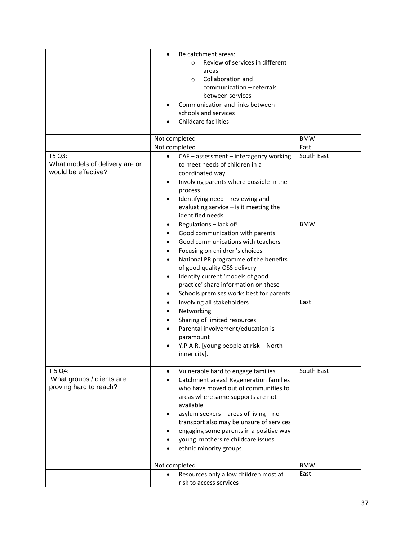|                                                                 | Re catchment areas:<br>$\bullet$<br>Review of services in different<br>$\circ$<br>areas<br>Collaboration and<br>$\circ$<br>communication - referrals<br>between services<br>Communication and links between<br>schools and services<br><b>Childcare facilities</b>                                                                                                                      |            |
|-----------------------------------------------------------------|-----------------------------------------------------------------------------------------------------------------------------------------------------------------------------------------------------------------------------------------------------------------------------------------------------------------------------------------------------------------------------------------|------------|
|                                                                 | Not completed                                                                                                                                                                                                                                                                                                                                                                           | <b>BMW</b> |
|                                                                 | Not completed                                                                                                                                                                                                                                                                                                                                                                           | East       |
| T5 Q3:<br>What models of delivery are or<br>would be effective? | CAF - assessment - interagency working<br>$\bullet$<br>to meet needs of children in a<br>coordinated way<br>Involving parents where possible in the<br>٠<br>process<br>Identifying need - reviewing and<br>٠<br>evaluating service $-$ is it meeting the<br>identified needs                                                                                                            | South East |
|                                                                 | Regulations - lack of!<br>٠<br>Good communication with parents<br>Good communications with teachers<br>Focusing on children's choices<br>National PR programme of the benefits<br>of good quality OSS delivery<br>Identify current 'models of good<br>٠<br>practice' share information on these<br>Schools premises works best for parents<br>٠                                         | <b>BMW</b> |
|                                                                 | Involving all stakeholders<br>$\bullet$<br>Networking<br>Sharing of limited resources<br>٠<br>Parental involvement/education is<br>$\bullet$<br>paramount<br>Y.P.A.R. [young people at risk - North<br>inner city].                                                                                                                                                                     | East       |
| T 5 Q4:<br>What groups / clients are<br>proving hard to reach?  | Vulnerable hard to engage families<br>$\bullet$<br>Catchment areas! Regeneration families<br>٠<br>who have moved out of communities to<br>areas where same supports are not<br>available<br>asylum seekers - areas of living - no<br>transport also may be unsure of services<br>engaging some parents in a positive way<br>young mothers re childcare issues<br>ethnic minority groups | South East |
|                                                                 | Not completed                                                                                                                                                                                                                                                                                                                                                                           | <b>BMW</b> |
|                                                                 | Resources only allow children most at<br>risk to access services                                                                                                                                                                                                                                                                                                                        | East       |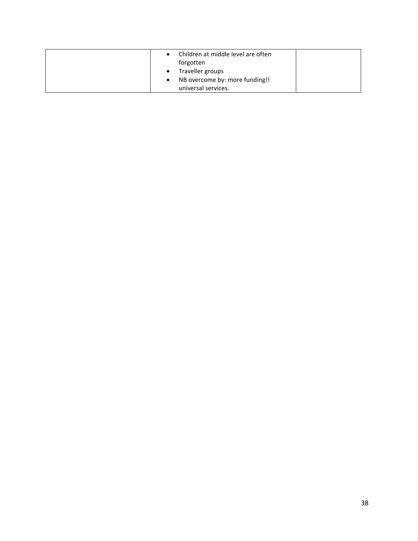| Children at middle level are often<br>forgotten<br>Traveller groups<br>NB overcome by: more funding!! |
|-------------------------------------------------------------------------------------------------------|
| universal services.                                                                                   |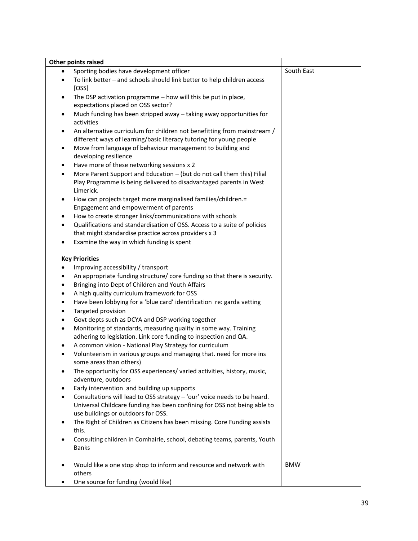|           | <b>Other points raised</b>                                                                                                                                |            |  |  |  |
|-----------|-----------------------------------------------------------------------------------------------------------------------------------------------------------|------------|--|--|--|
| $\bullet$ | Sporting bodies have development officer                                                                                                                  | South East |  |  |  |
| $\bullet$ | To link better - and schools should link better to help children access                                                                                   |            |  |  |  |
|           | [OSS]                                                                                                                                                     |            |  |  |  |
| $\bullet$ | The DSP activation programme - how will this be put in place,<br>expectations placed on OSS sector?                                                       |            |  |  |  |
| $\bullet$ | Much funding has been stripped away - taking away opportunities for<br>activities                                                                         |            |  |  |  |
| ٠         | An alternative curriculum for children not benefitting from mainstream /<br>different ways of learning/basic literacy tutoring for young people           |            |  |  |  |
| $\bullet$ | Move from language of behaviour management to building and<br>developing resilience                                                                       |            |  |  |  |
| $\bullet$ | Have more of these networking sessions x 2                                                                                                                |            |  |  |  |
| $\bullet$ | More Parent Support and Education - (but do not call them this) Filial<br>Play Programme is being delivered to disadvantaged parents in West<br>Limerick. |            |  |  |  |
| ٠         | How can projects target more marginalised families/children.=<br>Engagement and empowerment of parents                                                    |            |  |  |  |
| ٠         | How to create stronger links/communications with schools                                                                                                  |            |  |  |  |
| $\bullet$ | Qualifications and standardisation of OSS. Access to a suite of policies                                                                                  |            |  |  |  |
|           | that might standardise practice across providers x 3                                                                                                      |            |  |  |  |
| ٠         | Examine the way in which funding is spent                                                                                                                 |            |  |  |  |
|           | <b>Key Priorities</b>                                                                                                                                     |            |  |  |  |
| $\bullet$ | Improving accessibility / transport                                                                                                                       |            |  |  |  |
| $\bullet$ | An appropriate funding structure/ core funding so that there is security.                                                                                 |            |  |  |  |
| $\bullet$ | Bringing into Dept of Children and Youth Affairs                                                                                                          |            |  |  |  |
|           | A high quality curriculum framework for OSS<br>٠                                                                                                          |            |  |  |  |
|           | Have been lobbying for a 'blue card' identification re: garda vetting<br>$\bullet$                                                                        |            |  |  |  |
|           | Targeted provision<br>$\bullet$                                                                                                                           |            |  |  |  |
|           | Govt depts such as DCYA and DSP working together<br>٠                                                                                                     |            |  |  |  |
| $\bullet$ | Monitoring of standards, measuring quality in some way. Training<br>adhering to legislation. Link core funding to inspection and QA.                      |            |  |  |  |
| ٠         | A common vision - National Play Strategy for curriculum                                                                                                   |            |  |  |  |
| $\bullet$ | Volunteerism in various groups and managing that. need for more ins<br>some areas than others)                                                            |            |  |  |  |
| ٠         | The opportunity for OSS experiences/ varied activities, history, music,<br>adventure, outdoors                                                            |            |  |  |  |
|           | Early intervention and building up supports                                                                                                               |            |  |  |  |
| $\bullet$ | Consultations will lead to OSS strategy - 'our' voice needs to be heard.<br>Universal Childcare funding has been confining for OSS not being able to      |            |  |  |  |
|           | use buildings or outdoors for OSS.                                                                                                                        |            |  |  |  |
|           | The Right of Children as Citizens has been missing. Core Funding assists<br>this.                                                                         |            |  |  |  |
|           | Consulting children in Comhairle, school, debating teams, parents, Youth                                                                                  |            |  |  |  |
|           | <b>Banks</b>                                                                                                                                              |            |  |  |  |
| ٠         | Would like a one stop shop to inform and resource and network with                                                                                        | <b>BMW</b> |  |  |  |
|           | others                                                                                                                                                    |            |  |  |  |
|           | One source for funding (would like)                                                                                                                       |            |  |  |  |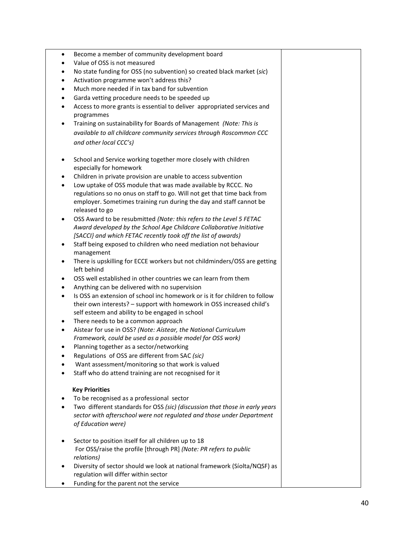Value of OSS is not measured No state funding for OSS (no subvention) so created black market (*sic*) Activation programme won't address this? Much more needed if in tax band for subvention Garda vetting procedure needs to be speeded up Access to more grants is essential to deliver appropriated services and programmes Training on sustainability for Boards of Management *(Note: This is available to all childcare community services through Roscommon CCC and other local CCC's)* • School and Service working together more closely with children especially for homework Children in private provision are unable to access subvention Low uptake of OSS module that was made available by RCCC. No regulations so no onus on staff to go. Will not get that time back from employer. Sometimes training run during the day and staff cannot be released to go OSS Award to be resubmitted *(Note: this refers to the Level 5 FETAC Award developed by the School Age Childcare Collaborative Initiative [SACCI} and which FETAC recently took off the list of awards)* Staff being exposed to children who need mediation not behaviour management There is upskilling for ECCE workers but not childminders/OSS are getting left behind OSS well established in other countries we can learn from them Anything can be delivered with no supervision Is OSS an extension of school inc homework or is it for children to follow their own interests? – support with homework in OSS increased child's self esteem and ability to be engaged in school There needs to be a common approach Aístear for use in OSS? *(Note: Aístear, the National Curriculum Framework, could be used as a possible model for OSS work)* • Planning together as a sector/networking Regulations of OSS are different from SAC *(sic)* Want assessment/monitoring so that work is valued Staff who do attend training are not recognised for it  **Key Priorities**  To be recognised as a professional sector Two different standards for OSS *(sic) (discussion that those in early years sector with afterschool were not regulated and those under Department of Education were)* Sector to position itself for all children up to 18 For OSS/raise the profile [through PR] *(Note: PR refers to public* 

Become a member of community development board

- *relations)* Diversity of sector should we look at national framework (Síolta/NQSF) as regulation will differ within sector
- Funding for the parent not the service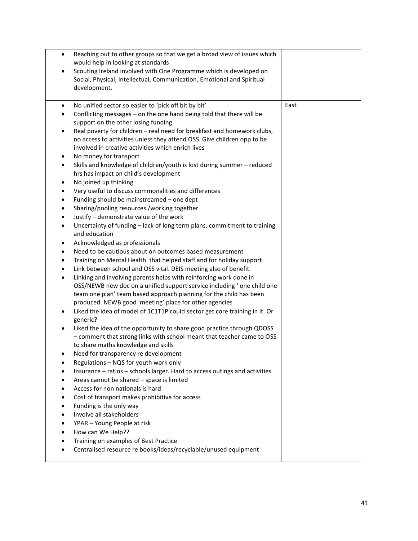| Reaching out to other groups so that we get a broad view of issues which<br>$\bullet$<br>would help in looking at standards<br>Scouting Ireland involved with One Programme which is developed on<br>$\bullet$<br>Social, Physical, Intellectual, Communication, Emotional and Spiritual                                                                                                                                                                                                                                                                                                                                                                                                                                                                                                                                                                                                                                                                                                                                                                                                                                                                                                                                                                                                                                                                                                                                                                                                                                                                                                                                                                                                                                                                                                                                                                                                                                                                                                 |      |
|------------------------------------------------------------------------------------------------------------------------------------------------------------------------------------------------------------------------------------------------------------------------------------------------------------------------------------------------------------------------------------------------------------------------------------------------------------------------------------------------------------------------------------------------------------------------------------------------------------------------------------------------------------------------------------------------------------------------------------------------------------------------------------------------------------------------------------------------------------------------------------------------------------------------------------------------------------------------------------------------------------------------------------------------------------------------------------------------------------------------------------------------------------------------------------------------------------------------------------------------------------------------------------------------------------------------------------------------------------------------------------------------------------------------------------------------------------------------------------------------------------------------------------------------------------------------------------------------------------------------------------------------------------------------------------------------------------------------------------------------------------------------------------------------------------------------------------------------------------------------------------------------------------------------------------------------------------------------------------------|------|
|                                                                                                                                                                                                                                                                                                                                                                                                                                                                                                                                                                                                                                                                                                                                                                                                                                                                                                                                                                                                                                                                                                                                                                                                                                                                                                                                                                                                                                                                                                                                                                                                                                                                                                                                                                                                                                                                                                                                                                                          |      |
| development.<br>No unified sector so easier to 'pick off bit by bit'<br>$\bullet$<br>Conflicting messages - on the one hand being told that there will be<br>$\bullet$<br>support on the other losing funding<br>Real poverty for children - real need for breakfast and homework clubs,<br>$\bullet$<br>no access to activities unless they attend OSS. Give children opp to be<br>involved in creative activities which enrich lives<br>No money for transport<br>٠<br>Skills and knowledge of children/youth is lost during summer - reduced<br>$\bullet$<br>hrs has impact on child's development<br>No joined up thinking<br>$\bullet$<br>Very useful to discuss commonalities and differences<br>$\bullet$<br>Funding should be mainstreamed - one dept<br>$\bullet$<br>Sharing/pooling resources /working together<br>$\bullet$<br>Justify - demonstrate value of the work<br>$\bullet$<br>Uncertainty of funding - lack of long term plans, commitment to training<br>$\bullet$<br>and education<br>Acknowledged as professionals<br>٠<br>Need to be cautious about on outcomes based measurement<br>$\bullet$<br>Training on Mental Health that helped staff and for holiday support<br>$\bullet$<br>Link between school and OSS vital. DEIS meeting also of benefit.<br>$\bullet$<br>Linking and involving parents helps with reinforcing work done in<br>$\bullet$<br>OSS/NEWB new doc on a unified support service including ' one child one<br>team one plan' team based approach planning for the child has been<br>produced. NEWB good 'meeting' place for other agencies<br>Liked the idea of model of 1C1T1P could sector get core training in it. Or<br>$\bullet$<br>generic?<br>Liked the idea of the opportunity to share good practice through QDOSS<br>$\bullet$<br>- comment that strong links with school meant that teacher came to OSS<br>to share maths knowledge and skills<br>Need for transparency re development<br>Regulations - NQS for youth work only | East |
| Insurance - ratios - schools larger. Hard to access outings and activities<br>Areas cannot be shared - space is limited                                                                                                                                                                                                                                                                                                                                                                                                                                                                                                                                                                                                                                                                                                                                                                                                                                                                                                                                                                                                                                                                                                                                                                                                                                                                                                                                                                                                                                                                                                                                                                                                                                                                                                                                                                                                                                                                  |      |
| Access for non nationals is hard                                                                                                                                                                                                                                                                                                                                                                                                                                                                                                                                                                                                                                                                                                                                                                                                                                                                                                                                                                                                                                                                                                                                                                                                                                                                                                                                                                                                                                                                                                                                                                                                                                                                                                                                                                                                                                                                                                                                                         |      |
| Cost of transport makes prohibitive for access                                                                                                                                                                                                                                                                                                                                                                                                                                                                                                                                                                                                                                                                                                                                                                                                                                                                                                                                                                                                                                                                                                                                                                                                                                                                                                                                                                                                                                                                                                                                                                                                                                                                                                                                                                                                                                                                                                                                           |      |
| Funding is the only way                                                                                                                                                                                                                                                                                                                                                                                                                                                                                                                                                                                                                                                                                                                                                                                                                                                                                                                                                                                                                                                                                                                                                                                                                                                                                                                                                                                                                                                                                                                                                                                                                                                                                                                                                                                                                                                                                                                                                                  |      |
| Involve all stakeholders                                                                                                                                                                                                                                                                                                                                                                                                                                                                                                                                                                                                                                                                                                                                                                                                                                                                                                                                                                                                                                                                                                                                                                                                                                                                                                                                                                                                                                                                                                                                                                                                                                                                                                                                                                                                                                                                                                                                                                 |      |
| YPAR - Young People at risk                                                                                                                                                                                                                                                                                                                                                                                                                                                                                                                                                                                                                                                                                                                                                                                                                                                                                                                                                                                                                                                                                                                                                                                                                                                                                                                                                                                                                                                                                                                                                                                                                                                                                                                                                                                                                                                                                                                                                              |      |
| How can We Help??<br>Training on examples of Best Practice                                                                                                                                                                                                                                                                                                                                                                                                                                                                                                                                                                                                                                                                                                                                                                                                                                                                                                                                                                                                                                                                                                                                                                                                                                                                                                                                                                                                                                                                                                                                                                                                                                                                                                                                                                                                                                                                                                                               |      |
| Centralised resource re books/ideas/recyclable/unused equipment<br>٠                                                                                                                                                                                                                                                                                                                                                                                                                                                                                                                                                                                                                                                                                                                                                                                                                                                                                                                                                                                                                                                                                                                                                                                                                                                                                                                                                                                                                                                                                                                                                                                                                                                                                                                                                                                                                                                                                                                     |      |